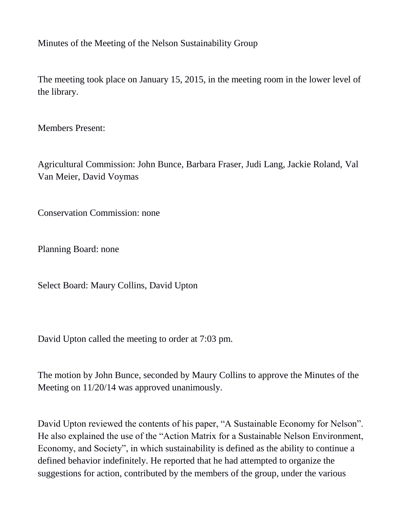Minutes of the Meeting of the Nelson Sustainability Group

The meeting took place on January 15, 2015, in the meeting room in the lower level of the library.

Members Present:

Agricultural Commission: John Bunce, Barbara Fraser, Judi Lang, Jackie Roland, Val Van Meier, David Voymas

Conservation Commission: none

Planning Board: none

Select Board: Maury Collins, David Upton

David Upton called the meeting to order at 7:03 pm.

The motion by John Bunce, seconded by Maury Collins to approve the Minutes of the Meeting on 11/20/14 was approved unanimously.

David Upton reviewed the contents of his paper, "A Sustainable Economy for Nelson". He also explained the use of the "Action Matrix for a Sustainable Nelson Environment, Economy, and Society", in which sustainability is defined as the ability to continue a defined behavior indefinitely. He reported that he had attempted to organize the suggestions for action, contributed by the members of the group, under the various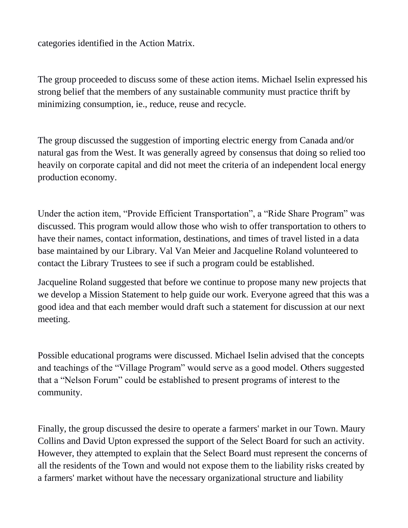categories identified in the Action Matrix.

The group proceeded to discuss some of these action items. Michael Iselin expressed his strong belief that the members of any sustainable community must practice thrift by minimizing consumption, ie., reduce, reuse and recycle.

The group discussed the suggestion of importing electric energy from Canada and/or natural gas from the West. It was generally agreed by consensus that doing so relied too heavily on corporate capital and did not meet the criteria of an independent local energy production economy.

Under the action item, "Provide Efficient Transportation", a "Ride Share Program" was discussed. This program would allow those who wish to offer transportation to others to have their names, contact information, destinations, and times of travel listed in a data base maintained by our Library. Val Van Meier and Jacqueline Roland volunteered to contact the Library Trustees to see if such a program could be established.

Jacqueline Roland suggested that before we continue to propose many new projects that we develop a Mission Statement to help guide our work. Everyone agreed that this was a good idea and that each member would draft such a statement for discussion at our next meeting.

Possible educational programs were discussed. Michael Iselin advised that the concepts and teachings of the "Village Program" would serve as a good model. Others suggested that a "Nelson Forum" could be established to present programs of interest to the community.

Finally, the group discussed the desire to operate a farmers' market in our Town. Maury Collins and David Upton expressed the support of the Select Board for such an activity. However, they attempted to explain that the Select Board must represent the concerns of all the residents of the Town and would not expose them to the liability risks created by a farmers' market without have the necessary organizational structure and liability